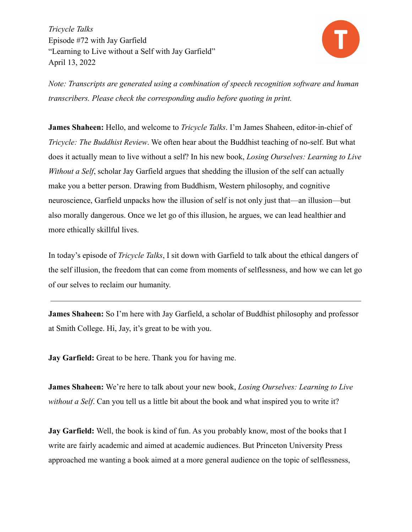

*Note: Transcripts are generated using a combination of speech recognition software and human transcribers. Please check the corresponding audio before quoting in print.*

**James Shaheen:** Hello, and welcome to *Tricycle Talks*. I'm James Shaheen, editor-in-chief of *Tricycle: The Buddhist Review*. We often hear about the Buddhist teaching of no-self. But what does it actually mean to live without a self? In his new book, *Losing Ourselves: Learning to Live Without a Self*, scholar Jay Garfield argues that shedding the illusion of the self can actually make you a better person. Drawing from Buddhism, Western philosophy, and cognitive neuroscience, Garfield unpacks how the illusion of self is not only just that—an illusion—but also morally dangerous. Once we let go of this illusion, he argues, we can lead healthier and more ethically skillful lives.

In today's episode of *Tricycle Talks*, I sit down with Garfield to talk about the ethical dangers of the self illusion, the freedom that can come from moments of selflessness, and how we can let go of our selves to reclaim our humanity.

**James Shaheen:** So I'm here with Jay Garfield, a scholar of Buddhist philosophy and professor at Smith College. Hi, Jay, it's great to be with you.

**Jay Garfield:** Great to be here. Thank you for having me.

**James Shaheen:** We're here to talk about your new book, *Losing Ourselves: Learning to Live without a Self*. Can you tell us a little bit about the book and what inspired you to write it?

**Jay Garfield:** Well, the book is kind of fun. As you probably know, most of the books that I write are fairly academic and aimed at academic audiences. But Princeton University Press approached me wanting a book aimed at a more general audience on the topic of selflessness,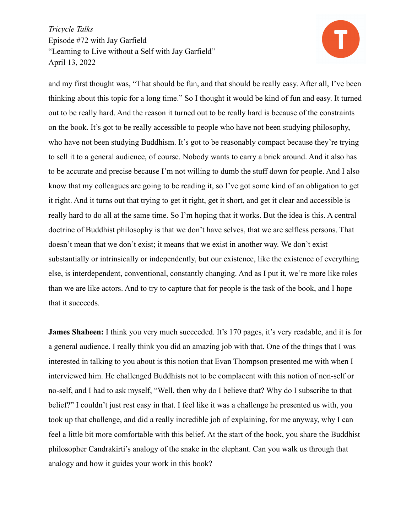

and my first thought was, "That should be fun, and that should be really easy. After all, I've been thinking about this topic for a long time." So I thought it would be kind of fun and easy. It turned out to be really hard. And the reason it turned out to be really hard is because of the constraints on the book. It's got to be really accessible to people who have not been studying philosophy, who have not been studying Buddhism. It's got to be reasonably compact because they're trying to sell it to a general audience, of course. Nobody wants to carry a brick around. And it also has to be accurate and precise because I'm not willing to dumb the stuff down for people. And I also know that my colleagues are going to be reading it, so I've got some kind of an obligation to get it right. And it turns out that trying to get it right, get it short, and get it clear and accessible is really hard to do all at the same time. So I'm hoping that it works. But the idea is this. A central doctrine of Buddhist philosophy is that we don't have selves, that we are selfless persons. That doesn't mean that we don't exist; it means that we exist in another way. We don't exist substantially or intrinsically or independently, but our existence, like the existence of everything else, is interdependent, conventional, constantly changing. And as I put it, we're more like roles than we are like actors. And to try to capture that for people is the task of the book, and I hope that it succeeds.

**James Shaheen:** I think you very much succeeded. It's 170 pages, it's very readable, and it is for a general audience. I really think you did an amazing job with that. One of the things that I was interested in talking to you about is this notion that Evan Thompson presented me with when I interviewed him. He challenged Buddhists not to be complacent with this notion of non-self or no-self, and I had to ask myself, "Well, then why do I believe that? Why do I subscribe to that belief?" I couldn't just rest easy in that. I feel like it was a challenge he presented us with, you took up that challenge, and did a really incredible job of explaining, for me anyway, why I can feel a little bit more comfortable with this belief. At the start of the book, you share the Buddhist philosopher Candrakirti's analogy of the snake in the elephant. Can you walk us through that analogy and how it guides your work in this book?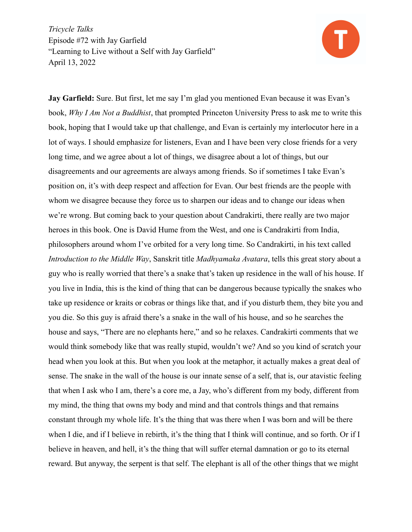

**Jay Garfield:** Sure. But first, let me say I'm glad you mentioned Evan because it was Evan's book, *Why I Am Not a Buddhist*, that prompted Princeton University Press to ask me to write this book, hoping that I would take up that challenge, and Evan is certainly my interlocutor here in a lot of ways. I should emphasize for listeners, Evan and I have been very close friends for a very long time, and we agree about a lot of things, we disagree about a lot of things, but our disagreements and our agreements are always among friends. So if sometimes I take Evan's position on, it's with deep respect and affection for Evan. Our best friends are the people with whom we disagree because they force us to sharpen our ideas and to change our ideas when we're wrong. But coming back to your question about Candrakirti, there really are two major heroes in this book. One is David Hume from the West, and one is Candrakirti from India, philosophers around whom I've orbited for a very long time. So Candrakirti, in his text called *Introduction to the Middle Way*, Sanskrit title *Madhyamaka Avatara*, tells this great story about a guy who is really worried that there's a snake that's taken up residence in the wall of his house. If you live in India, this is the kind of thing that can be dangerous because typically the snakes who take up residence or kraits or cobras or things like that, and if you disturb them, they bite you and you die. So this guy is afraid there's a snake in the wall of his house, and so he searches the house and says, "There are no elephants here," and so he relaxes. Candrakirti comments that we would think somebody like that was really stupid, wouldn't we? And so you kind of scratch your head when you look at this. But when you look at the metaphor, it actually makes a great deal of sense. The snake in the wall of the house is our innate sense of a self, that is, our atavistic feeling that when I ask who I am, there's a core me, a Jay, who's different from my body, different from my mind, the thing that owns my body and mind and that controls things and that remains constant through my whole life. It's the thing that was there when I was born and will be there when I die, and if I believe in rebirth, it's the thing that I think will continue, and so forth. Or if I believe in heaven, and hell, it's the thing that will suffer eternal damnation or go to its eternal reward. But anyway, the serpent is that self. The elephant is all of the other things that we might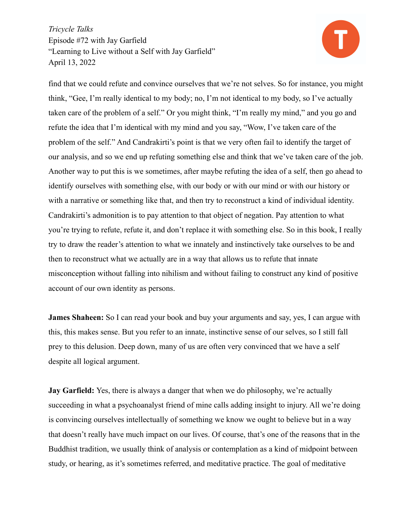

find that we could refute and convince ourselves that we're not selves. So for instance, you might think, "Gee, I'm really identical to my body; no, I'm not identical to my body, so I've actually taken care of the problem of a self." Or you might think, "I'm really my mind," and you go and refute the idea that I'm identical with my mind and you say, "Wow, I've taken care of the problem of the self." And Candrakirti's point is that we very often fail to identify the target of our analysis, and so we end up refuting something else and think that we've taken care of the job. Another way to put this is we sometimes, after maybe refuting the idea of a self, then go ahead to identify ourselves with something else, with our body or with our mind or with our history or with a narrative or something like that, and then try to reconstruct a kind of individual identity. Candrakirti's admonition is to pay attention to that object of negation. Pay attention to what you're trying to refute, refute it, and don't replace it with something else. So in this book, I really try to draw the reader's attention to what we innately and instinctively take ourselves to be and then to reconstruct what we actually are in a way that allows us to refute that innate misconception without falling into nihilism and without failing to construct any kind of positive account of our own identity as persons.

**James Shaheen:** So I can read your book and buy your arguments and say, yes, I can argue with this, this makes sense. But you refer to an innate, instinctive sense of our selves, so I still fall prey to this delusion. Deep down, many of us are often very convinced that we have a self despite all logical argument.

**Jay Garfield:** Yes, there is always a danger that when we do philosophy, we're actually succeeding in what a psychoanalyst friend of mine calls adding insight to injury. All we're doing is convincing ourselves intellectually of something we know we ought to believe but in a way that doesn't really have much impact on our lives. Of course, that's one of the reasons that in the Buddhist tradition, we usually think of analysis or contemplation as a kind of midpoint between study, or hearing, as it's sometimes referred, and meditative practice. The goal of meditative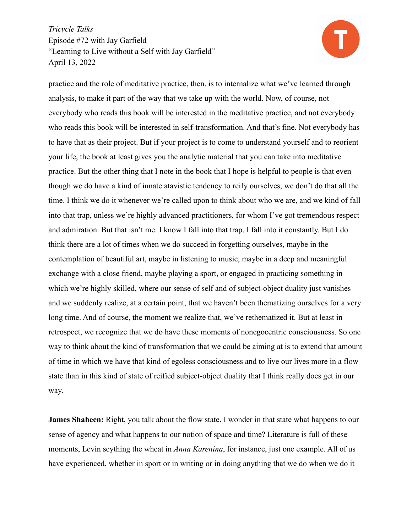

practice and the role of meditative practice, then, is to internalize what we've learned through analysis, to make it part of the way that we take up with the world. Now, of course, not everybody who reads this book will be interested in the meditative practice, and not everybody who reads this book will be interested in self-transformation. And that's fine. Not everybody has to have that as their project. But if your project is to come to understand yourself and to reorient your life, the book at least gives you the analytic material that you can take into meditative practice. But the other thing that I note in the book that I hope is helpful to people is that even though we do have a kind of innate atavistic tendency to reify ourselves, we don't do that all the time. I think we do it whenever we're called upon to think about who we are, and we kind of fall into that trap, unless we're highly advanced practitioners, for whom I've got tremendous respect and admiration. But that isn't me. I know I fall into that trap. I fall into it constantly. But I do think there are a lot of times when we do succeed in forgetting ourselves, maybe in the contemplation of beautiful art, maybe in listening to music, maybe in a deep and meaningful exchange with a close friend, maybe playing a sport, or engaged in practicing something in which we're highly skilled, where our sense of self and of subject-object duality just vanishes and we suddenly realize, at a certain point, that we haven't been thematizing ourselves for a very long time. And of course, the moment we realize that, we've rethematized it. But at least in retrospect, we recognize that we do have these moments of nonegocentric consciousness. So one way to think about the kind of transformation that we could be aiming at is to extend that amount of time in which we have that kind of egoless consciousness and to live our lives more in a flow state than in this kind of state of reified subject-object duality that I think really does get in our way.

**James Shaheen:** Right, you talk about the flow state. I wonder in that state what happens to our sense of agency and what happens to our notion of space and time? Literature is full of these moments, Levin scything the wheat in *Anna Karenina*, for instance, just one example. All of us have experienced, whether in sport or in writing or in doing anything that we do when we do it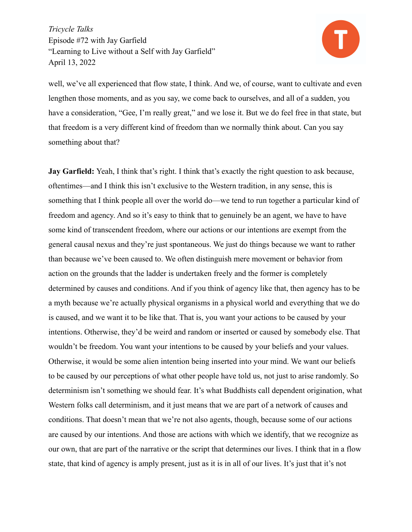

well, we've all experienced that flow state, I think. And we, of course, want to cultivate and even lengthen those moments, and as you say, we come back to ourselves, and all of a sudden, you have a consideration, "Gee, I'm really great," and we lose it. But we do feel free in that state, but that freedom is a very different kind of freedom than we normally think about. Can you say something about that?

**Jay Garfield:** Yeah, I think that's right. I think that's exactly the right question to ask because, oftentimes—and I think this isn't exclusive to the Western tradition, in any sense, this is something that I think people all over the world do—we tend to run together a particular kind of freedom and agency. And so it's easy to think that to genuinely be an agent, we have to have some kind of transcendent freedom, where our actions or our intentions are exempt from the general causal nexus and they're just spontaneous. We just do things because we want to rather than because we've been caused to. We often distinguish mere movement or behavior from action on the grounds that the ladder is undertaken freely and the former is completely determined by causes and conditions. And if you think of agency like that, then agency has to be a myth because we're actually physical organisms in a physical world and everything that we do is caused, and we want it to be like that. That is, you want your actions to be caused by your intentions. Otherwise, they'd be weird and random or inserted or caused by somebody else. That wouldn't be freedom. You want your intentions to be caused by your beliefs and your values. Otherwise, it would be some alien intention being inserted into your mind. We want our beliefs to be caused by our perceptions of what other people have told us, not just to arise randomly. So determinism isn't something we should fear. It's what Buddhists call dependent origination, what Western folks call determinism, and it just means that we are part of a network of causes and conditions. That doesn't mean that we're not also agents, though, because some of our actions are caused by our intentions. And those are actions with which we identify, that we recognize as our own, that are part of the narrative or the script that determines our lives. I think that in a flow state, that kind of agency is amply present, just as it is in all of our lives. It's just that it's not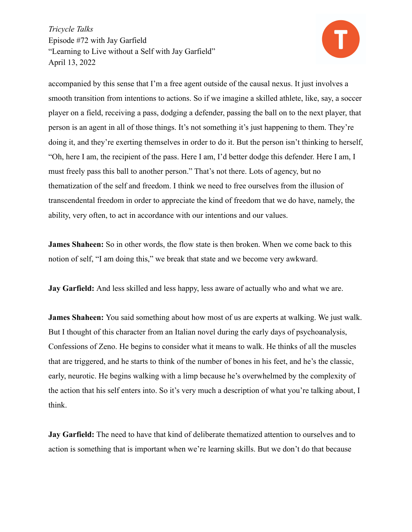

accompanied by this sense that I'm a free agent outside of the causal nexus. It just involves a smooth transition from intentions to actions. So if we imagine a skilled athlete, like, say, a soccer player on a field, receiving a pass, dodging a defender, passing the ball on to the next player, that person is an agent in all of those things. It's not something it's just happening to them. They're doing it, and they're exerting themselves in order to do it. But the person isn't thinking to herself, "Oh, here I am, the recipient of the pass. Here I am, I'd better dodge this defender. Here I am, I must freely pass this ball to another person." That's not there. Lots of agency, but no thematization of the self and freedom. I think we need to free ourselves from the illusion of transcendental freedom in order to appreciate the kind of freedom that we do have, namely, the ability, very often, to act in accordance with our intentions and our values.

**James Shaheen:** So in other words, the flow state is then broken. When we come back to this notion of self, "I am doing this," we break that state and we become very awkward.

**Jay Garfield:** And less skilled and less happy, less aware of actually who and what we are.

**James Shaheen:** You said something about how most of us are experts at walking. We just walk. But I thought of this character from an Italian novel during the early days of psychoanalysis, Confessions of Zeno. He begins to consider what it means to walk. He thinks of all the muscles that are triggered, and he starts to think of the number of bones in his feet, and he's the classic, early, neurotic. He begins walking with a limp because he's overwhelmed by the complexity of the action that his self enters into. So it's very much a description of what you're talking about, I think.

**Jay Garfield:** The need to have that kind of deliberate thematized attention to ourselves and to action is something that is important when we're learning skills. But we don't do that because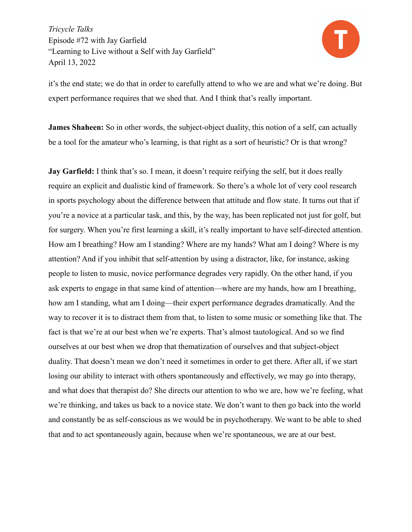

it's the end state; we do that in order to carefully attend to who we are and what we're doing. But expert performance requires that we shed that. And I think that's really important.

**James Shaheen:** So in other words, the subject-object duality, this notion of a self, can actually be a tool for the amateur who's learning, is that right as a sort of heuristic? Or is that wrong?

**Jay Garfield:** I think that's so. I mean, it doesn't require reifying the self, but it does really require an explicit and dualistic kind of framework. So there's a whole lot of very cool research in sports psychology about the difference between that attitude and flow state. It turns out that if you're a novice at a particular task, and this, by the way, has been replicated not just for golf, but for surgery. When you're first learning a skill, it's really important to have self-directed attention. How am I breathing? How am I standing? Where are my hands? What am I doing? Where is my attention? And if you inhibit that self-attention by using a distractor, like, for instance, asking people to listen to music, novice performance degrades very rapidly. On the other hand, if you ask experts to engage in that same kind of attention—where are my hands, how am I breathing, how am I standing, what am I doing—their expert performance degrades dramatically. And the way to recover it is to distract them from that, to listen to some music or something like that. The fact is that we're at our best when we're experts. That's almost tautological. And so we find ourselves at our best when we drop that thematization of ourselves and that subject-object duality. That doesn't mean we don't need it sometimes in order to get there. After all, if we start losing our ability to interact with others spontaneously and effectively, we may go into therapy, and what does that therapist do? She directs our attention to who we are, how we're feeling, what we're thinking, and takes us back to a novice state. We don't want to then go back into the world and constantly be as self-conscious as we would be in psychotherapy. We want to be able to shed that and to act spontaneously again, because when we're spontaneous, we are at our best.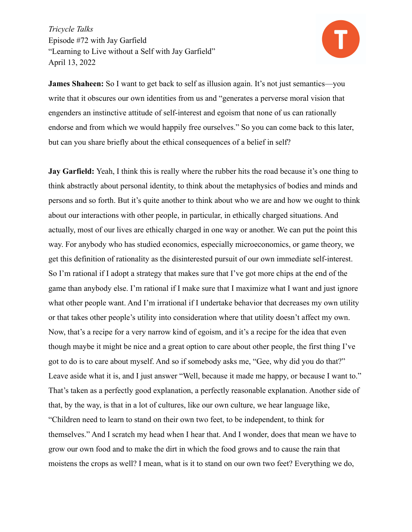

**James Shaheen:** So I want to get back to self as illusion again. It's not just semantics—you write that it obscures our own identities from us and "generates a perverse moral vision that engenders an instinctive attitude of self-interest and egoism that none of us can rationally endorse and from which we would happily free ourselves." So you can come back to this later, but can you share briefly about the ethical consequences of a belief in self?

**Jay Garfield:** Yeah, I think this is really where the rubber hits the road because it's one thing to think abstractly about personal identity, to think about the metaphysics of bodies and minds and persons and so forth. But it's quite another to think about who we are and how we ought to think about our interactions with other people, in particular, in ethically charged situations. And actually, most of our lives are ethically charged in one way or another. We can put the point this way. For anybody who has studied economics, especially microeconomics, or game theory, we get this definition of rationality as the disinterested pursuit of our own immediate self-interest. So I'm rational if I adopt a strategy that makes sure that I've got more chips at the end of the game than anybody else. I'm rational if I make sure that I maximize what I want and just ignore what other people want. And I'm irrational if I undertake behavior that decreases my own utility or that takes other people's utility into consideration where that utility doesn't affect my own. Now, that's a recipe for a very narrow kind of egoism, and it's a recipe for the idea that even though maybe it might be nice and a great option to care about other people, the first thing I've got to do is to care about myself. And so if somebody asks me, "Gee, why did you do that?" Leave aside what it is, and I just answer "Well, because it made me happy, or because I want to." That's taken as a perfectly good explanation, a perfectly reasonable explanation. Another side of that, by the way, is that in a lot of cultures, like our own culture, we hear language like, "Children need to learn to stand on their own two feet, to be independent, to think for themselves." And I scratch my head when I hear that. And I wonder, does that mean we have to grow our own food and to make the dirt in which the food grows and to cause the rain that moistens the crops as well? I mean, what is it to stand on our own two feet? Everything we do,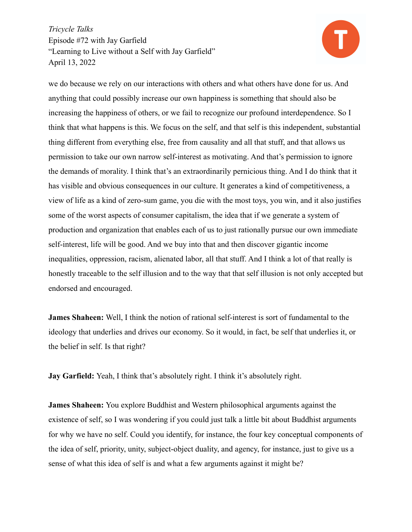

we do because we rely on our interactions with others and what others have done for us. And anything that could possibly increase our own happiness is something that should also be increasing the happiness of others, or we fail to recognize our profound interdependence. So I think that what happens is this. We focus on the self, and that self is this independent, substantial thing different from everything else, free from causality and all that stuff, and that allows us permission to take our own narrow self-interest as motivating. And that's permission to ignore the demands of morality. I think that's an extraordinarily pernicious thing. And I do think that it has visible and obvious consequences in our culture. It generates a kind of competitiveness, a view of life as a kind of zero-sum game, you die with the most toys, you win, and it also justifies some of the worst aspects of consumer capitalism, the idea that if we generate a system of production and organization that enables each of us to just rationally pursue our own immediate self-interest, life will be good. And we buy into that and then discover gigantic income inequalities, oppression, racism, alienated labor, all that stuff. And I think a lot of that really is honestly traceable to the self illusion and to the way that that self illusion is not only accepted but endorsed and encouraged.

**James Shaheen:** Well, I think the notion of rational self-interest is sort of fundamental to the ideology that underlies and drives our economy. So it would, in fact, be self that underlies it, or the belief in self. Is that right?

**Jay Garfield:** Yeah, I think that's absolutely right. I think it's absolutely right.

**James Shaheen:** You explore Buddhist and Western philosophical arguments against the existence of self, so I was wondering if you could just talk a little bit about Buddhist arguments for why we have no self. Could you identify, for instance, the four key conceptual components of the idea of self, priority, unity, subject-object duality, and agency, for instance, just to give us a sense of what this idea of self is and what a few arguments against it might be?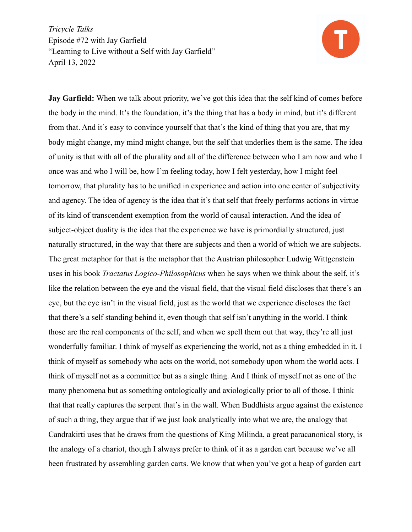

**Jay Garfield:** When we talk about priority, we've got this idea that the self kind of comes before the body in the mind. It's the foundation, it's the thing that has a body in mind, but it's different from that. And it's easy to convince yourself that that's the kind of thing that you are, that my body might change, my mind might change, but the self that underlies them is the same. The idea of unity is that with all of the plurality and all of the difference between who I am now and who I once was and who I will be, how I'm feeling today, how I felt yesterday, how I might feel tomorrow, that plurality has to be unified in experience and action into one center of subjectivity and agency. The idea of agency is the idea that it's that self that freely performs actions in virtue of its kind of transcendent exemption from the world of causal interaction. And the idea of subject-object duality is the idea that the experience we have is primordially structured, just naturally structured, in the way that there are subjects and then a world of which we are subjects. The great metaphor for that is the metaphor that the Austrian philosopher Ludwig Wittgenstein uses in his book *Tractatus Logico-Philosophicus* when he says when we think about the self, it's like the relation between the eye and the visual field, that the visual field discloses that there's an eye, but the eye isn't in the visual field, just as the world that we experience discloses the fact that there's a self standing behind it, even though that self isn't anything in the world. I think those are the real components of the self, and when we spell them out that way, they're all just wonderfully familiar. I think of myself as experiencing the world, not as a thing embedded in it. I think of myself as somebody who acts on the world, not somebody upon whom the world acts. I think of myself not as a committee but as a single thing. And I think of myself not as one of the many phenomena but as something ontologically and axiologically prior to all of those. I think that that really captures the serpent that's in the wall. When Buddhists argue against the existence of such a thing, they argue that if we just look analytically into what we are, the analogy that Candrakirti uses that he draws from the questions of King Milinda, a great paracanonical story, is the analogy of a chariot, though I always prefer to think of it as a garden cart because we've all been frustrated by assembling garden carts. We know that when you've got a heap of garden cart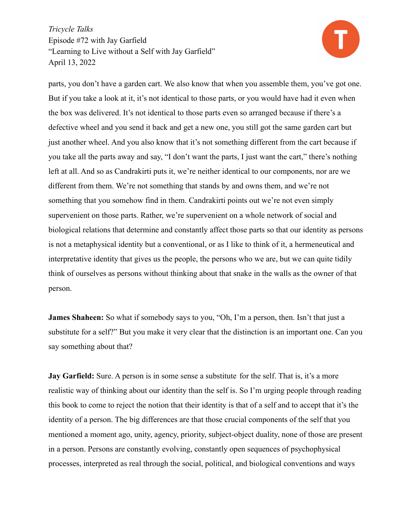

parts, you don't have a garden cart. We also know that when you assemble them, you've got one. But if you take a look at it, it's not identical to those parts, or you would have had it even when the box was delivered. It's not identical to those parts even so arranged because if there's a defective wheel and you send it back and get a new one, you still got the same garden cart but just another wheel. And you also know that it's not something different from the cart because if you take all the parts away and say, "I don't want the parts, I just want the cart," there's nothing left at all. And so as Candrakirti puts it, we're neither identical to our components, nor are we different from them. We're not something that stands by and owns them, and we're not something that you somehow find in them. Candrakirti points out we're not even simply supervenient on those parts. Rather, we're supervenient on a whole network of social and biological relations that determine and constantly affect those parts so that our identity as persons is not a metaphysical identity but a conventional, or as I like to think of it, a hermeneutical and interpretative identity that gives us the people, the persons who we are, but we can quite tidily think of ourselves as persons without thinking about that snake in the walls as the owner of that person.

**James Shaheen:** So what if somebody says to you, "Oh, I'm a person, then. Isn't that just a substitute for a self?" But you make it very clear that the distinction is an important one. Can you say something about that?

**Jay Garfield:** Sure. A person is in some sense a substitute for the self. That is, it's a more realistic way of thinking about our identity than the self is. So I'm urging people through reading this book to come to reject the notion that their identity is that of a self and to accept that it's the identity of a person. The big differences are that those crucial components of the self that you mentioned a moment ago, unity, agency, priority, subject-object duality, none of those are present in a person. Persons are constantly evolving, constantly open sequences of psychophysical processes, interpreted as real through the social, political, and biological conventions and ways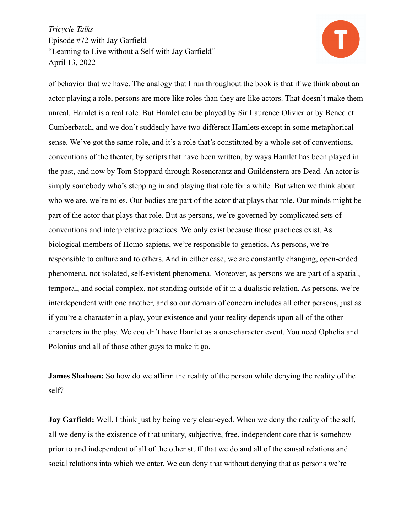

of behavior that we have. The analogy that I run throughout the book is that if we think about an actor playing a role, persons are more like roles than they are like actors. That doesn't make them unreal. Hamlet is a real role. But Hamlet can be played by Sir Laurence Olivier or by Benedict Cumberbatch, and we don't suddenly have two different Hamlets except in some metaphorical sense. We've got the same role, and it's a role that's constituted by a whole set of conventions, conventions of the theater, by scripts that have been written, by ways Hamlet has been played in the past, and now by Tom Stoppard through Rosencrantz and Guildenstern are Dead. An actor is simply somebody who's stepping in and playing that role for a while. But when we think about who we are, we're roles. Our bodies are part of the actor that plays that role. Our minds might be part of the actor that plays that role. But as persons, we're governed by complicated sets of conventions and interpretative practices. We only exist because those practices exist. As biological members of Homo sapiens, we're responsible to genetics. As persons, we're responsible to culture and to others. And in either case, we are constantly changing, open-ended phenomena, not isolated, self-existent phenomena. Moreover, as persons we are part of a spatial, temporal, and social complex, not standing outside of it in a dualistic relation. As persons, we're interdependent with one another, and so our domain of concern includes all other persons, just as if you're a character in a play, your existence and your reality depends upon all of the other characters in the play. We couldn't have Hamlet as a one-character event. You need Ophelia and Polonius and all of those other guys to make it go.

**James Shaheen:** So how do we affirm the reality of the person while denying the reality of the self?

**Jay Garfield:** Well, I think just by being very clear-eyed. When we deny the reality of the self, all we deny is the existence of that unitary, subjective, free, independent core that is somehow prior to and independent of all of the other stuff that we do and all of the causal relations and social relations into which we enter. We can deny that without denying that as persons we're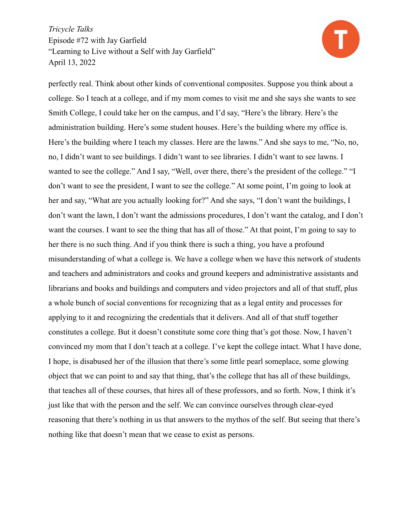

perfectly real. Think about other kinds of conventional composites. Suppose you think about a college. So I teach at a college, and if my mom comes to visit me and she says she wants to see Smith College, I could take her on the campus, and I'd say, "Here's the library. Here's the administration building. Here's some student houses. Here's the building where my office is. Here's the building where I teach my classes. Here are the lawns." And she says to me, "No, no, no, I didn't want to see buildings. I didn't want to see libraries. I didn't want to see lawns. I wanted to see the college." And I say, "Well, over there, there's the president of the college." "I don't want to see the president, I want to see the college." At some point, I'm going to look at her and say, "What are you actually looking for?" And she says, "I don't want the buildings, I don't want the lawn, I don't want the admissions procedures, I don't want the catalog, and I don't want the courses. I want to see the thing that has all of those." At that point, I'm going to say to her there is no such thing. And if you think there is such a thing, you have a profound misunderstanding of what a college is. We have a college when we have this network of students and teachers and administrators and cooks and ground keepers and administrative assistants and librarians and books and buildings and computers and video projectors and all of that stuff, plus a whole bunch of social conventions for recognizing that as a legal entity and processes for applying to it and recognizing the credentials that it delivers. And all of that stuff together constitutes a college. But it doesn't constitute some core thing that's got those. Now, I haven't convinced my mom that I don't teach at a college. I've kept the college intact. What I have done, I hope, is disabused her of the illusion that there's some little pearl someplace, some glowing object that we can point to and say that thing, that's the college that has all of these buildings, that teaches all of these courses, that hires all of these professors, and so forth. Now, I think it's just like that with the person and the self. We can convince ourselves through clear-eyed reasoning that there's nothing in us that answers to the mythos of the self. But seeing that there's nothing like that doesn't mean that we cease to exist as persons.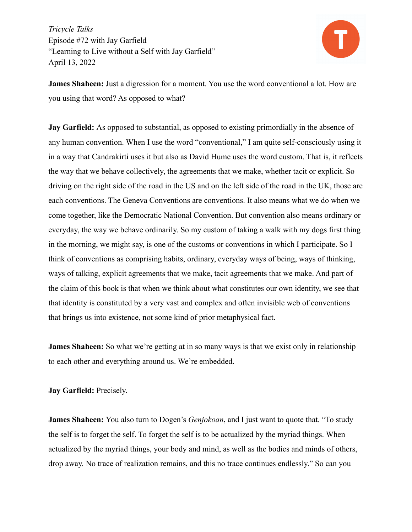

**James Shaheen:** Just a digression for a moment. You use the word conventional a lot. How are you using that word? As opposed to what?

**Jay Garfield:** As opposed to substantial, as opposed to existing primordially in the absence of any human convention. When I use the word "conventional," I am quite self-consciously using it in a way that Candrakirti uses it but also as David Hume uses the word custom. That is, it reflects the way that we behave collectively, the agreements that we make, whether tacit or explicit. So driving on the right side of the road in the US and on the left side of the road in the UK, those are each conventions. The Geneva Conventions are conventions. It also means what we do when we come together, like the Democratic National Convention. But convention also means ordinary or everyday, the way we behave ordinarily. So my custom of taking a walk with my dogs first thing in the morning, we might say, is one of the customs or conventions in which I participate. So I think of conventions as comprising habits, ordinary, everyday ways of being, ways of thinking, ways of talking, explicit agreements that we make, tacit agreements that we make. And part of the claim of this book is that when we think about what constitutes our own identity, we see that that identity is constituted by a very vast and complex and often invisible web of conventions that brings us into existence, not some kind of prior metaphysical fact.

**James Shaheen:** So what we're getting at in so many ways is that we exist only in relationship to each other and everything around us. We're embedded.

**Jay Garfield:** Precisely.

**James Shaheen:** You also turn to Dogen's *Genjokoan*, and I just want to quote that. "To study the self is to forget the self. To forget the self is to be actualized by the myriad things. When actualized by the myriad things, your body and mind, as well as the bodies and minds of others, drop away. No trace of realization remains, and this no trace continues endlessly." So can you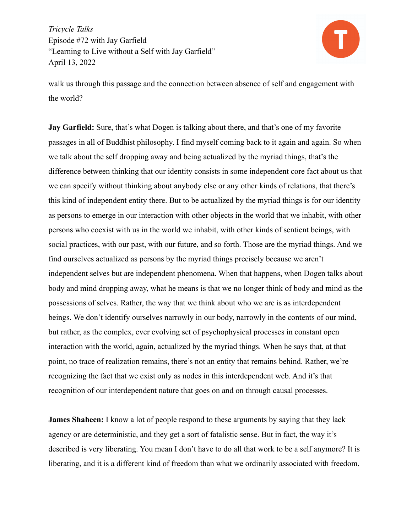

walk us through this passage and the connection between absence of self and engagement with the world?

**Jay Garfield:** Sure, that's what Dogen is talking about there, and that's one of my favorite passages in all of Buddhist philosophy. I find myself coming back to it again and again. So when we talk about the self dropping away and being actualized by the myriad things, that's the difference between thinking that our identity consists in some independent core fact about us that we can specify without thinking about anybody else or any other kinds of relations, that there's this kind of independent entity there. But to be actualized by the myriad things is for our identity as persons to emerge in our interaction with other objects in the world that we inhabit, with other persons who coexist with us in the world we inhabit, with other kinds of sentient beings, with social practices, with our past, with our future, and so forth. Those are the myriad things. And we find ourselves actualized as persons by the myriad things precisely because we aren't independent selves but are independent phenomena. When that happens, when Dogen talks about body and mind dropping away, what he means is that we no longer think of body and mind as the possessions of selves. Rather, the way that we think about who we are is as interdependent beings. We don't identify ourselves narrowly in our body, narrowly in the contents of our mind, but rather, as the complex, ever evolving set of psychophysical processes in constant open interaction with the world, again, actualized by the myriad things. When he says that, at that point, no trace of realization remains, there's not an entity that remains behind. Rather, we're recognizing the fact that we exist only as nodes in this interdependent web. And it's that recognition of our interdependent nature that goes on and on through causal processes.

**James Shaheen:** I know a lot of people respond to these arguments by saying that they lack agency or are deterministic, and they get a sort of fatalistic sense. But in fact, the way it's described is very liberating. You mean I don't have to do all that work to be a self anymore? It is liberating, and it is a different kind of freedom than what we ordinarily associated with freedom.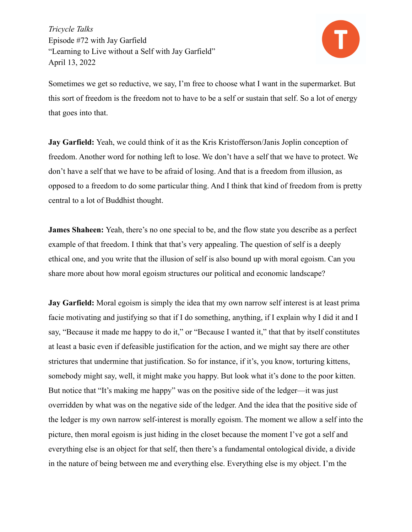

Sometimes we get so reductive, we say, I'm free to choose what I want in the supermarket. But this sort of freedom is the freedom not to have to be a self or sustain that self. So a lot of energy that goes into that.

**Jay Garfield:** Yeah, we could think of it as the Kris Kristofferson/Janis Joplin conception of freedom. Another word for nothing left to lose. We don't have a self that we have to protect. We don't have a self that we have to be afraid of losing. And that is a freedom from illusion, as opposed to a freedom to do some particular thing. And I think that kind of freedom from is pretty central to a lot of Buddhist thought.

**James Shaheen:** Yeah, there's no one special to be, and the flow state you describe as a perfect example of that freedom. I think that that's very appealing. The question of self is a deeply ethical one, and you write that the illusion of self is also bound up with moral egoism. Can you share more about how moral egoism structures our political and economic landscape?

**Jay Garfield:** Moral egoism is simply the idea that my own narrow self interest is at least prima facie motivating and justifying so that if I do something, anything, if I explain why I did it and I say, "Because it made me happy to do it," or "Because I wanted it," that that by itself constitutes at least a basic even if defeasible justification for the action, and we might say there are other strictures that undermine that justification. So for instance, if it's, you know, torturing kittens, somebody might say, well, it might make you happy. But look what it's done to the poor kitten. But notice that "It's making me happy" was on the positive side of the ledger—it was just overridden by what was on the negative side of the ledger. And the idea that the positive side of the ledger is my own narrow self-interest is morally egoism. The moment we allow a self into the picture, then moral egoism is just hiding in the closet because the moment I've got a self and everything else is an object for that self, then there's a fundamental ontological divide, a divide in the nature of being between me and everything else. Everything else is my object. I'm the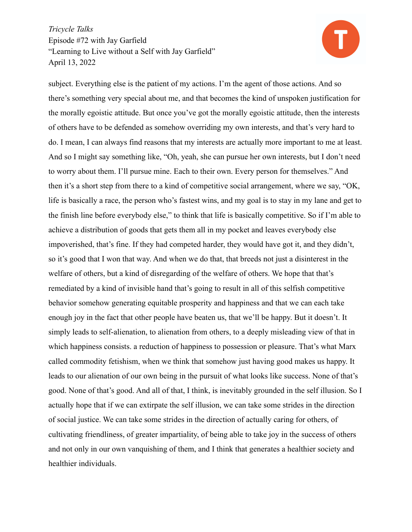

subject. Everything else is the patient of my actions. I'm the agent of those actions. And so there's something very special about me, and that becomes the kind of unspoken justification for the morally egoistic attitude. But once you've got the morally egoistic attitude, then the interests of others have to be defended as somehow overriding my own interests, and that's very hard to do. I mean, I can always find reasons that my interests are actually more important to me at least. And so I might say something like, "Oh, yeah, she can pursue her own interests, but I don't need to worry about them. I'll pursue mine. Each to their own. Every person for themselves." And then it's a short step from there to a kind of competitive social arrangement, where we say, "OK, life is basically a race, the person who's fastest wins, and my goal is to stay in my lane and get to the finish line before everybody else," to think that life is basically competitive. So if I'm able to achieve a distribution of goods that gets them all in my pocket and leaves everybody else impoverished, that's fine. If they had competed harder, they would have got it, and they didn't, so it's good that I won that way. And when we do that, that breeds not just a disinterest in the welfare of others, but a kind of disregarding of the welfare of others. We hope that that's remediated by a kind of invisible hand that's going to result in all of this selfish competitive behavior somehow generating equitable prosperity and happiness and that we can each take enough joy in the fact that other people have beaten us, that we'll be happy. But it doesn't. It simply leads to self-alienation, to alienation from others, to a deeply misleading view of that in which happiness consists. a reduction of happiness to possession or pleasure. That's what Marx called commodity fetishism, when we think that somehow just having good makes us happy. It leads to our alienation of our own being in the pursuit of what looks like success. None of that's good. None of that's good. And all of that, I think, is inevitably grounded in the self illusion. So I actually hope that if we can extirpate the self illusion, we can take some strides in the direction of social justice. We can take some strides in the direction of actually caring for others, of cultivating friendliness, of greater impartiality, of being able to take joy in the success of others and not only in our own vanquishing of them, and I think that generates a healthier society and healthier individuals.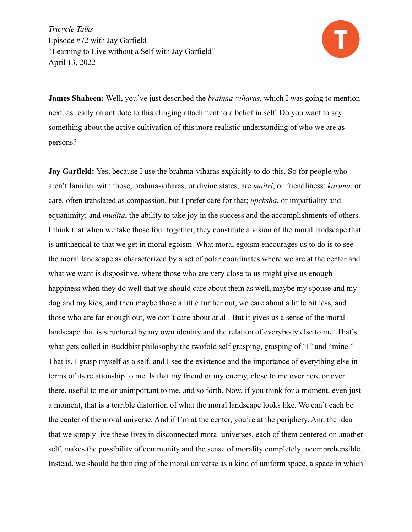

**James Shaheen:** Well, you've just described the *brahma-viharas*, which I was going to mention next, as really an antidote to this clinging attachment to a belief in self. Do you want to say something about the active cultivation of this more realistic understanding of who we are as persons?

**Jay Garfield:** Yes, because I use the brahma-viharas explicitly to do this. So for people who aren't familiar with those, brahma-viharas, or divine states, are *maitri*, or friendliness; *karuna*, or care, often translated as compassion, but I prefer care for that; *upeksha*, or impartiality and equanimity; and *mudita*, the ability to take joy in the success and the accomplishments of others. I think that when we take those four together, they constitute a vision of the moral landscape that is antithetical to that we get in moral egoism. What moral egoism encourages us to do is to see the moral landscape as characterized by a set of polar coordinates where we are at the center and what we want is dispositive, where those who are very close to us might give us enough happiness when they do well that we should care about them as well, maybe my spouse and my dog and my kids, and then maybe those a little further out, we care about a little bit less, and those who are far enough out, we don't care about at all. But it gives us a sense of the moral landscape that is structured by my own identity and the relation of everybody else to me. That's what gets called in Buddhist philosophy the twofold self grasping, grasping of "I" and "mine." That is, I grasp myself as a self, and I see the existence and the importance of everything else in terms of its relationship to me. Is that my friend or my enemy, close to me over here or over there, useful to me or unimportant to me, and so forth. Now, if you think for a moment, even just a moment, that is a terrible distortion of what the moral landscape looks like. We can't each be the center of the moral universe. And if I'm at the center, you're at the periphery. And the idea that we simply live these lives in disconnected moral universes, each of them centered on another self, makes the possibility of community and the sense of morality completely incomprehensible. Instead, we should be thinking of the moral universe as a kind of uniform space, a space in which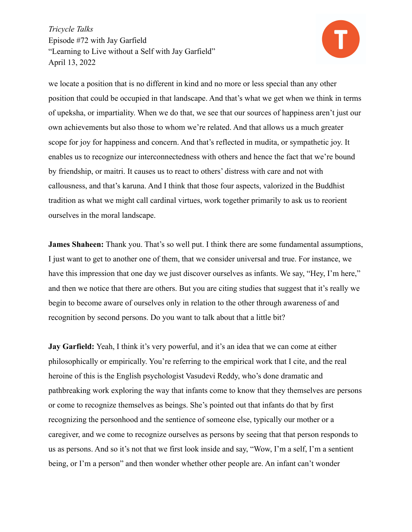

we locate a position that is no different in kind and no more or less special than any other position that could be occupied in that landscape. And that's what we get when we think in terms of upeksha, or impartiality. When we do that, we see that our sources of happiness aren't just our own achievements but also those to whom we're related. And that allows us a much greater scope for joy for happiness and concern. And that's reflected in mudita, or sympathetic joy. It enables us to recognize our interconnectedness with others and hence the fact that we're bound by friendship, or maitri. It causes us to react to others' distress with care and not with callousness, and that's karuna. And I think that those four aspects, valorized in the Buddhist tradition as what we might call cardinal virtues, work together primarily to ask us to reorient ourselves in the moral landscape.

**James Shaheen:** Thank you. That's so well put. I think there are some fundamental assumptions, I just want to get to another one of them, that we consider universal and true. For instance, we have this impression that one day we just discover ourselves as infants. We say, "Hey, I'm here," and then we notice that there are others. But you are citing studies that suggest that it's really we begin to become aware of ourselves only in relation to the other through awareness of and recognition by second persons. Do you want to talk about that a little bit?

**Jay Garfield:** Yeah, I think it's very powerful, and it's an idea that we can come at either philosophically or empirically. You're referring to the empirical work that I cite, and the real heroine of this is the English psychologist Vasudevi Reddy, who's done dramatic and pathbreaking work exploring the way that infants come to know that they themselves are persons or come to recognize themselves as beings. She's pointed out that infants do that by first recognizing the personhood and the sentience of someone else, typically our mother or a caregiver, and we come to recognize ourselves as persons by seeing that that person responds to us as persons. And so it's not that we first look inside and say, "Wow, I'm a self, I'm a sentient being, or I'm a person" and then wonder whether other people are. An infant can't wonder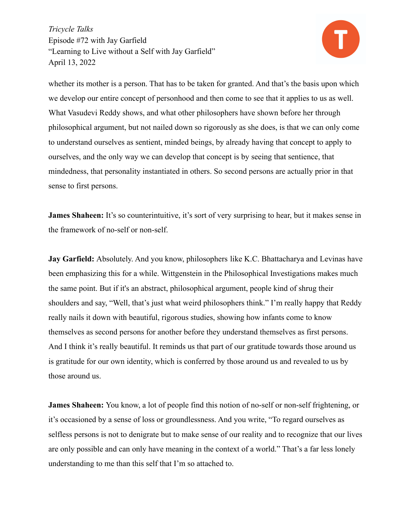

whether its mother is a person. That has to be taken for granted. And that's the basis upon which we develop our entire concept of personhood and then come to see that it applies to us as well. What Vasudevi Reddy shows, and what other philosophers have shown before her through philosophical argument, but not nailed down so rigorously as she does, is that we can only come to understand ourselves as sentient, minded beings, by already having that concept to apply to ourselves, and the only way we can develop that concept is by seeing that sentience, that mindedness, that personality instantiated in others. So second persons are actually prior in that sense to first persons.

**James Shaheen:** It's so counterintuitive, it's sort of very surprising to hear, but it makes sense in the framework of no-self or non-self.

**Jay Garfield:** Absolutely. And you know, philosophers like K.C. Bhattacharya and Levinas have been emphasizing this for a while. Wittgenstein in the Philosophical Investigations makes much the same point. But if it's an abstract, philosophical argument, people kind of shrug their shoulders and say, "Well, that's just what weird philosophers think." I'm really happy that Reddy really nails it down with beautiful, rigorous studies, showing how infants come to know themselves as second persons for another before they understand themselves as first persons. And I think it's really beautiful. It reminds us that part of our gratitude towards those around us is gratitude for our own identity, which is conferred by those around us and revealed to us by those around us.

**James Shaheen:** You know, a lot of people find this notion of no-self or non-self frightening, or it's occasioned by a sense of loss or groundlessness. And you write, "To regard ourselves as selfless persons is not to denigrate but to make sense of our reality and to recognize that our lives are only possible and can only have meaning in the context of a world." That's a far less lonely understanding to me than this self that I'm so attached to.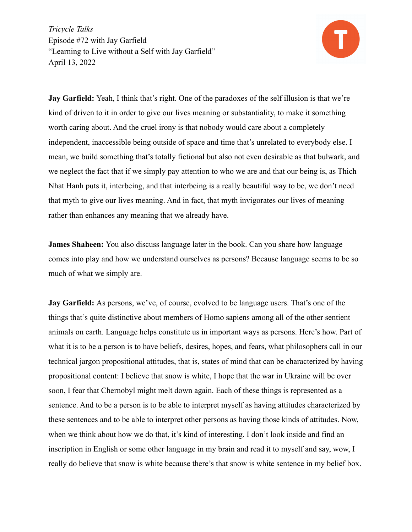

**Jay Garfield:** Yeah, I think that's right. One of the paradoxes of the self illusion is that we're kind of driven to it in order to give our lives meaning or substantiality, to make it something worth caring about. And the cruel irony is that nobody would care about a completely independent, inaccessible being outside of space and time that's unrelated to everybody else. I mean, we build something that's totally fictional but also not even desirable as that bulwark, and we neglect the fact that if we simply pay attention to who we are and that our being is, as Thich Nhat Hanh puts it, interbeing, and that interbeing is a really beautiful way to be, we don't need that myth to give our lives meaning. And in fact, that myth invigorates our lives of meaning rather than enhances any meaning that we already have.

**James Shaheen:** You also discuss language later in the book. Can you share how language comes into play and how we understand ourselves as persons? Because language seems to be so much of what we simply are.

**Jay Garfield:** As persons, we've, of course, evolved to be language users. That's one of the things that's quite distinctive about members of Homo sapiens among all of the other sentient animals on earth. Language helps constitute us in important ways as persons. Here's how. Part of what it is to be a person is to have beliefs, desires, hopes, and fears, what philosophers call in our technical jargon propositional attitudes, that is, states of mind that can be characterized by having propositional content: I believe that snow is white, I hope that the war in Ukraine will be over soon, I fear that Chernobyl might melt down again. Each of these things is represented as a sentence. And to be a person is to be able to interpret myself as having attitudes characterized by these sentences and to be able to interpret other persons as having those kinds of attitudes. Now, when we think about how we do that, it's kind of interesting. I don't look inside and find an inscription in English or some other language in my brain and read it to myself and say, wow, I really do believe that snow is white because there's that snow is white sentence in my belief box.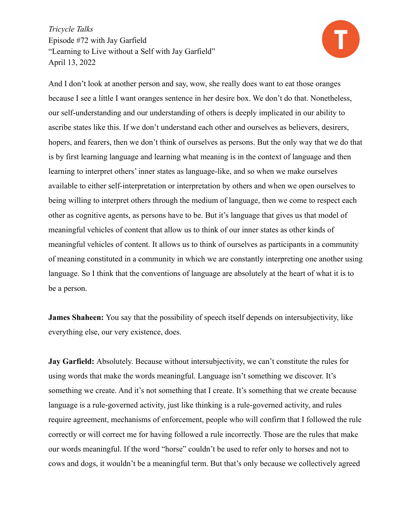

And I don't look at another person and say, wow, she really does want to eat those oranges because I see a little I want oranges sentence in her desire box. We don't do that. Nonetheless, our self-understanding and our understanding of others is deeply implicated in our ability to ascribe states like this. If we don't understand each other and ourselves as believers, desirers, hopers, and fearers, then we don't think of ourselves as persons. But the only way that we do that is by first learning language and learning what meaning is in the context of language and then learning to interpret others' inner states as language-like, and so when we make ourselves available to either self-interpretation or interpretation by others and when we open ourselves to being willing to interpret others through the medium of language, then we come to respect each other as cognitive agents, as persons have to be. But it's language that gives us that model of meaningful vehicles of content that allow us to think of our inner states as other kinds of meaningful vehicles of content. It allows us to think of ourselves as participants in a community of meaning constituted in a community in which we are constantly interpreting one another using language. So I think that the conventions of language are absolutely at the heart of what it is to be a person.

**James Shaheen:** You say that the possibility of speech itself depends on intersubjectivity, like everything else, our very existence, does.

**Jay Garfield:** Absolutely. Because without intersubjectivity, we can't constitute the rules for using words that make the words meaningful. Language isn't something we discover. It's something we create. And it's not something that I create. It's something that we create because language is a rule-governed activity, just like thinking is a rule-governed activity, and rules require agreement, mechanisms of enforcement, people who will confirm that I followed the rule correctly or will correct me for having followed a rule incorrectly. Those are the rules that make our words meaningful. If the word "horse" couldn't be used to refer only to horses and not to cows and dogs, it wouldn't be a meaningful term. But that's only because we collectively agreed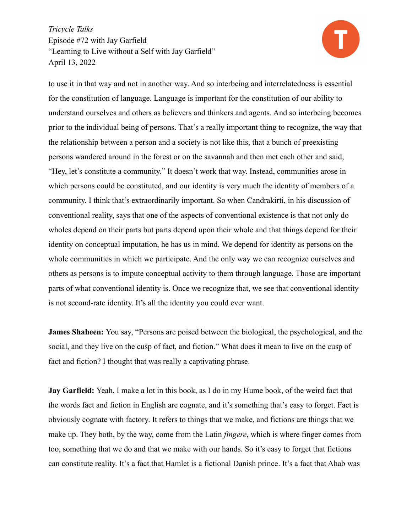

to use it in that way and not in another way. And so interbeing and interrelatedness is essential for the constitution of language. Language is important for the constitution of our ability to understand ourselves and others as believers and thinkers and agents. And so interbeing becomes prior to the individual being of persons. That's a really important thing to recognize, the way that the relationship between a person and a society is not like this, that a bunch of preexisting persons wandered around in the forest or on the savannah and then met each other and said, "Hey, let's constitute a community." It doesn't work that way. Instead, communities arose in which persons could be constituted, and our identity is very much the identity of members of a community. I think that's extraordinarily important. So when Candrakirti, in his discussion of conventional reality, says that one of the aspects of conventional existence is that not only do wholes depend on their parts but parts depend upon their whole and that things depend for their identity on conceptual imputation, he has us in mind. We depend for identity as persons on the whole communities in which we participate. And the only way we can recognize ourselves and others as persons is to impute conceptual activity to them through language. Those are important parts of what conventional identity is. Once we recognize that, we see that conventional identity is not second-rate identity. It's all the identity you could ever want.

**James Shaheen:** You say, "Persons are poised between the biological, the psychological, and the social, and they live on the cusp of fact, and fiction." What does it mean to live on the cusp of fact and fiction? I thought that was really a captivating phrase.

**Jay Garfield:** Yeah, I make a lot in this book, as I do in my Hume book, of the weird fact that the words fact and fiction in English are cognate, and it's something that's easy to forget. Fact is obviously cognate with factory. It refers to things that we make, and fictions are things that we make up. They both, by the way, come from the Latin *fingere*, which is where finger comes from too, something that we do and that we make with our hands. So it's easy to forget that fictions can constitute reality. It's a fact that Hamlet is a fictional Danish prince. It's a fact that Ahab was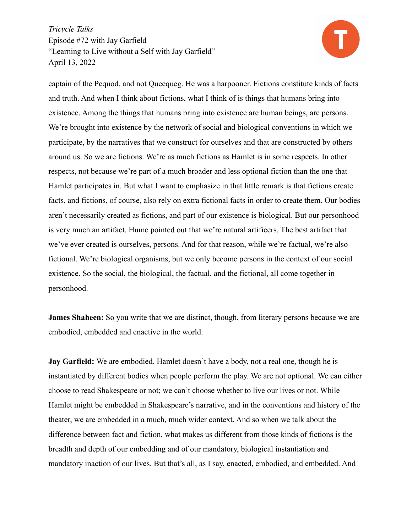

captain of the Pequod, and not Queequeg. He was a harpooner. Fictions constitute kinds of facts and truth. And when I think about fictions, what I think of is things that humans bring into existence. Among the things that humans bring into existence are human beings, are persons. We're brought into existence by the network of social and biological conventions in which we participate, by the narratives that we construct for ourselves and that are constructed by others around us. So we are fictions. We're as much fictions as Hamlet is in some respects. In other respects, not because we're part of a much broader and less optional fiction than the one that Hamlet participates in. But what I want to emphasize in that little remark is that fictions create facts, and fictions, of course, also rely on extra fictional facts in order to create them. Our bodies aren't necessarily created as fictions, and part of our existence is biological. But our personhood is very much an artifact. Hume pointed out that we're natural artificers. The best artifact that we've ever created is ourselves, persons. And for that reason, while we're factual, we're also fictional. We're biological organisms, but we only become persons in the context of our social existence. So the social, the biological, the factual, and the fictional, all come together in personhood.

**James Shaheen:** So you write that we are distinct, though, from literary persons because we are embodied, embedded and enactive in the world.

**Jay Garfield:** We are embodied. Hamlet doesn't have a body, not a real one, though he is instantiated by different bodies when people perform the play. We are not optional. We can either choose to read Shakespeare or not; we can't choose whether to live our lives or not. While Hamlet might be embedded in Shakespeare's narrative, and in the conventions and history of the theater, we are embedded in a much, much wider context. And so when we talk about the difference between fact and fiction, what makes us different from those kinds of fictions is the breadth and depth of our embedding and of our mandatory, biological instantiation and mandatory inaction of our lives. But that's all, as I say, enacted, embodied, and embedded. And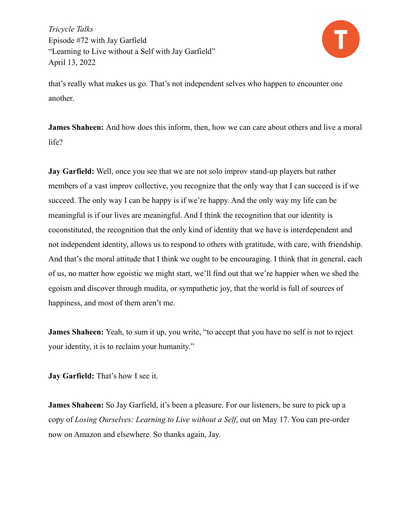

that's really what makes us go. That's not independent selves who happen to encounter one another.

**James Shaheen:** And how does this inform, then, how we can care about others and live a moral life?

**Jay Garfield:** Well, once you see that we are not solo improv stand-up players but rather members of a vast improv collective, you recognize that the only way that I can succeed is if we succeed. The only way I can be happy is if we're happy. And the only way my life can be meaningful is if our lives are meaningful. And I think the recognition that our identity is coconstituted, the recognition that the only kind of identity that we have is interdependent and not independent identity, allows us to respond to others with gratitude, with care, with friendship. And that's the moral attitude that I think we ought to be encouraging. I think that in general, each of us, no matter how egoistic we might start, we'll find out that we're happier when we shed the egoism and discover through mudita, or sympathetic joy, that the world is full of sources of happiness, and most of them aren't me.

**James Shaheen:** Yeah, to sum it up, you write, "to accept that you have no self is not to reject your identity, it is to reclaim your humanity."

**Jay Garfield:** That's how I see it.

**James Shaheen:** So Jay Garfield, it's been a pleasure. For our listeners, be sure to pick up a copy of *Losing Ourselves: Learning to Live without a Self*, out on May 17. You can pre-order now on Amazon and elsewhere. So thanks again, Jay.